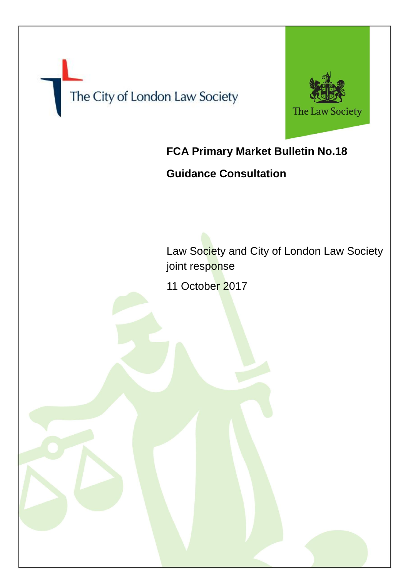